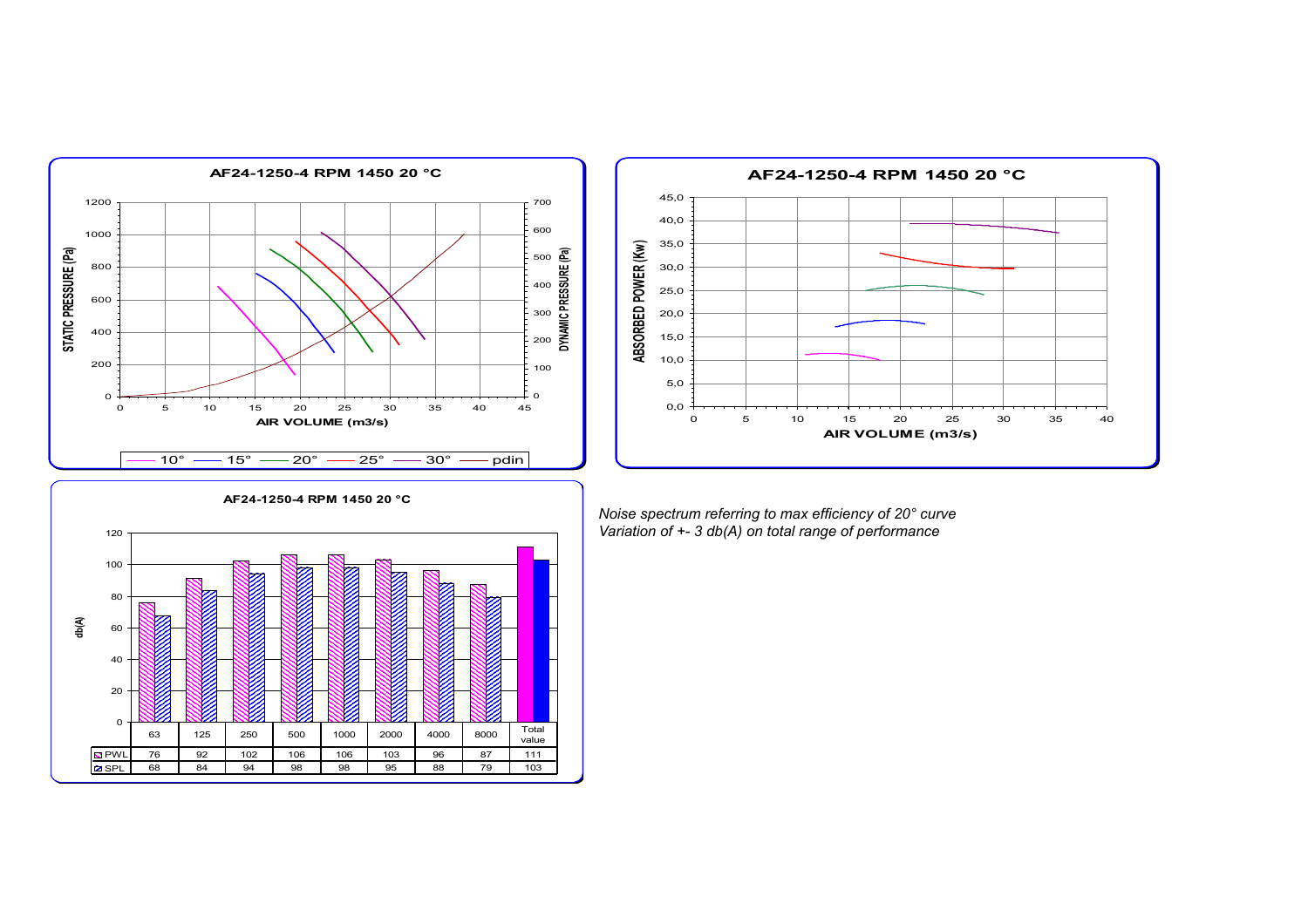



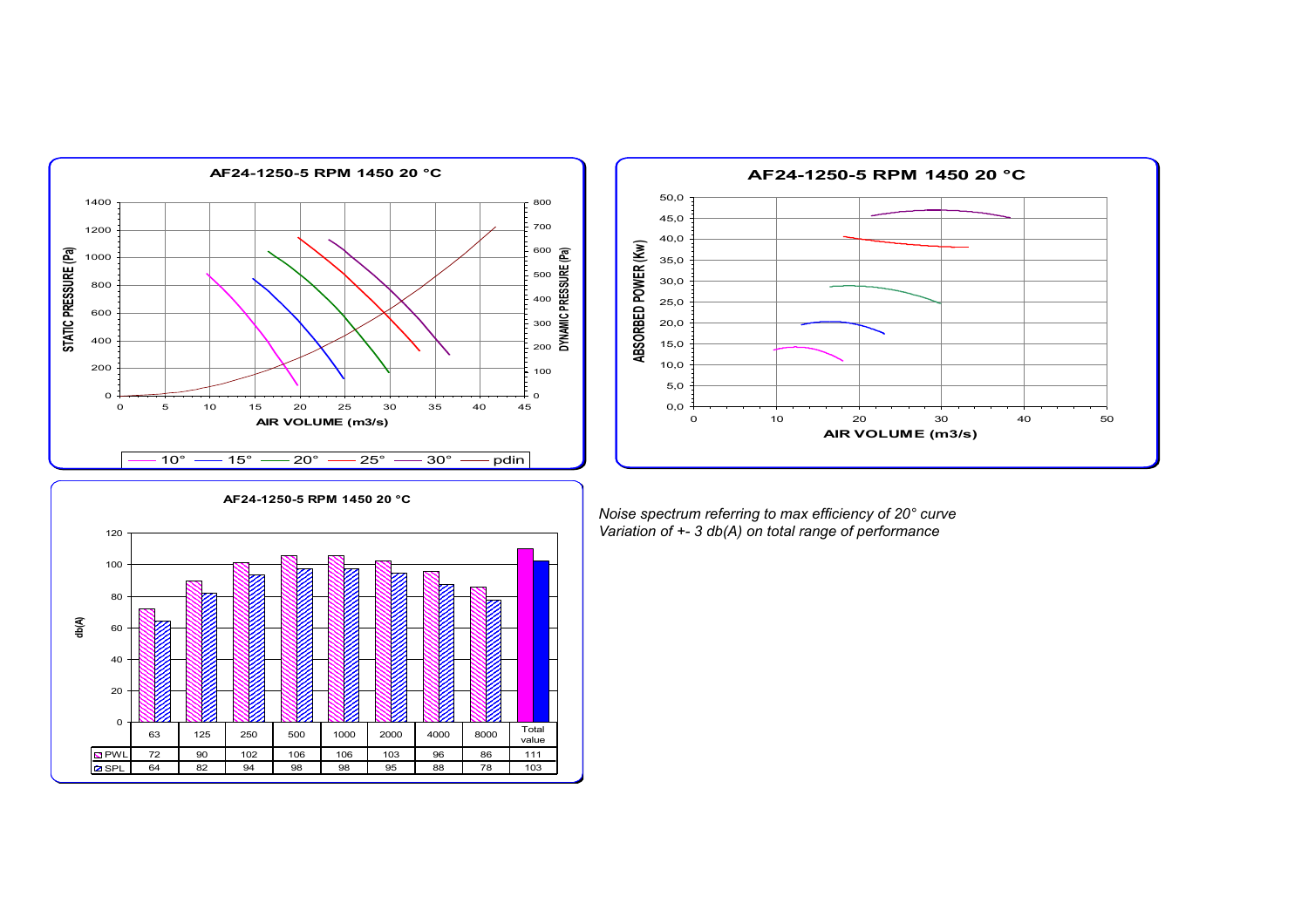



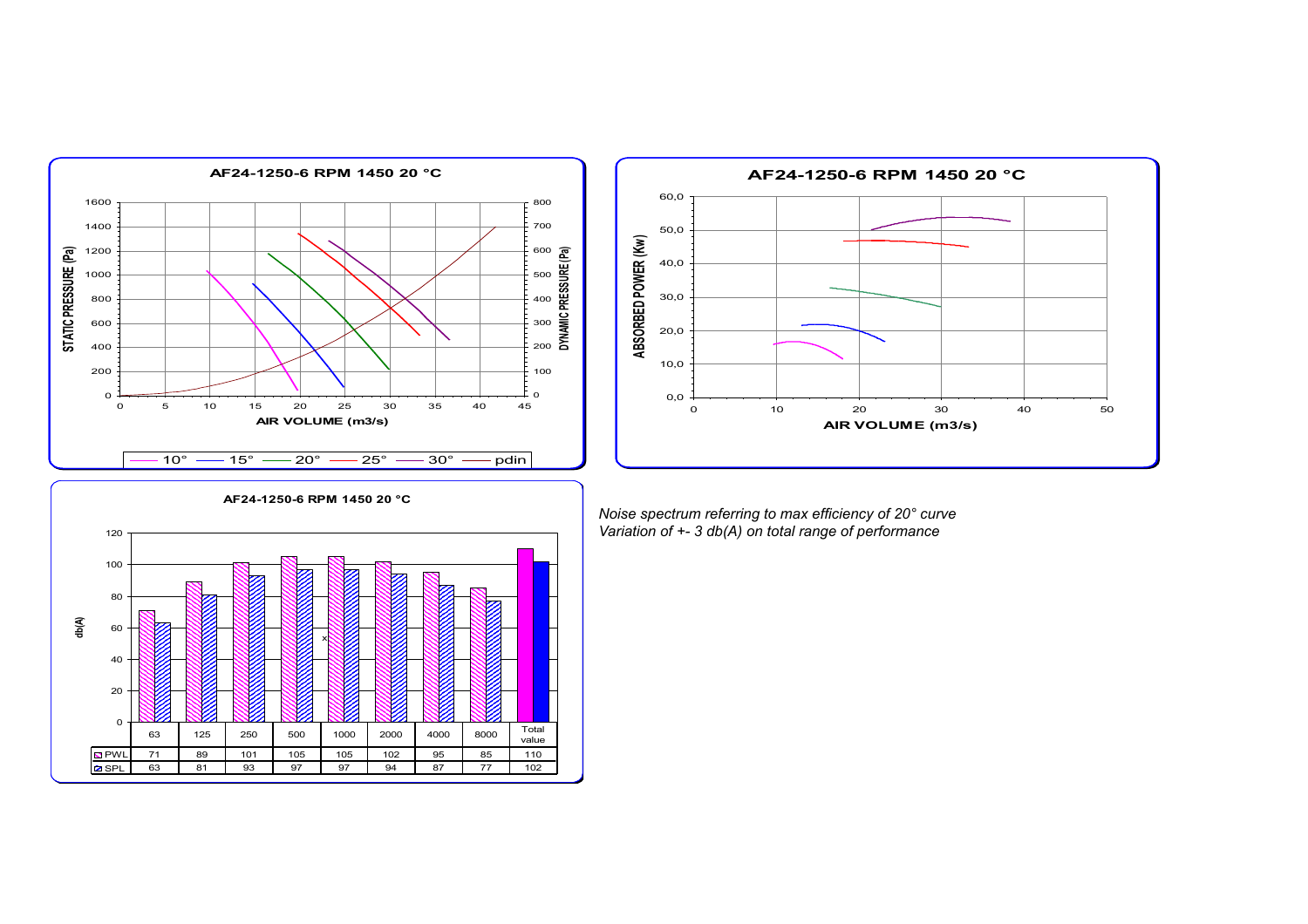



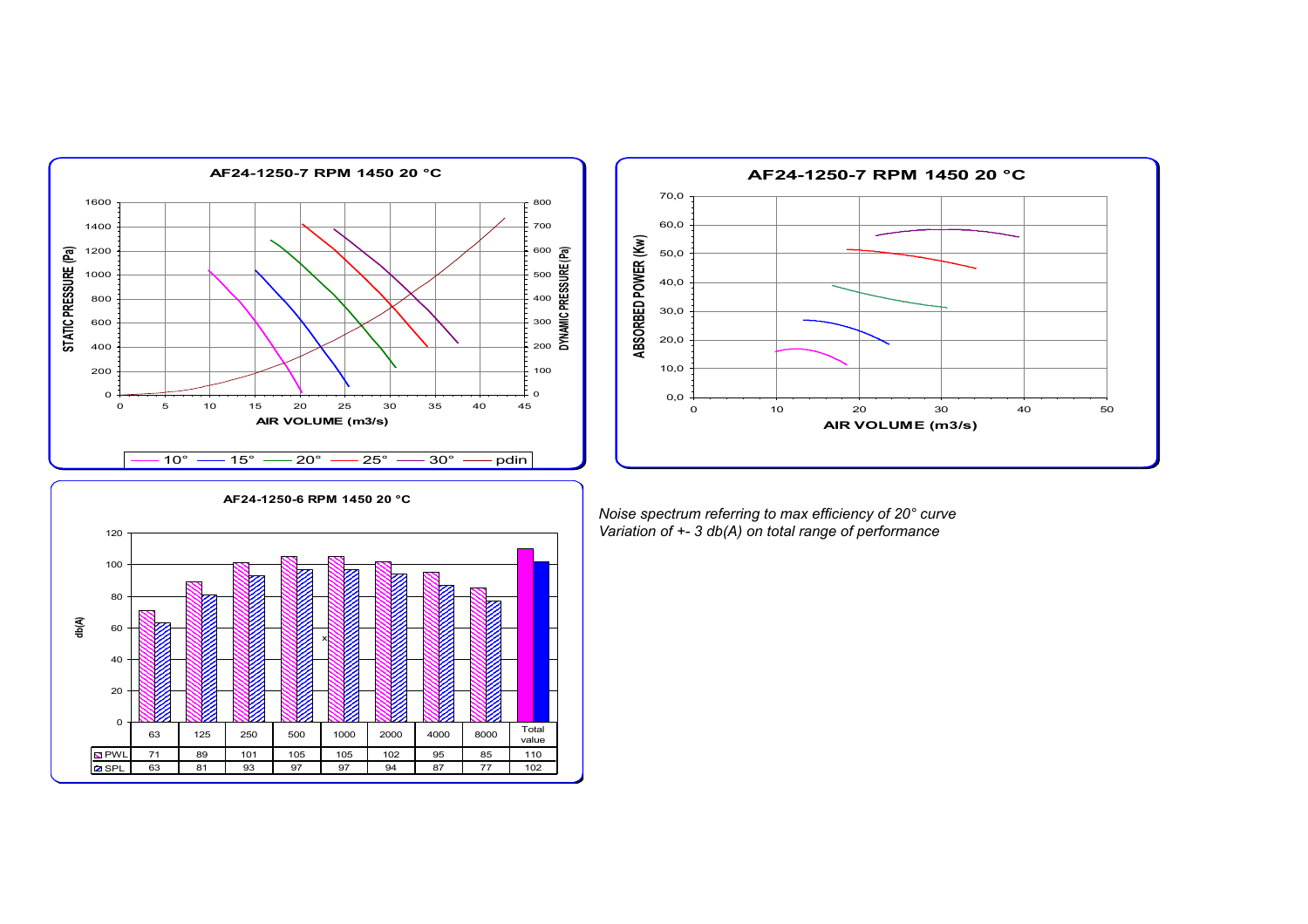



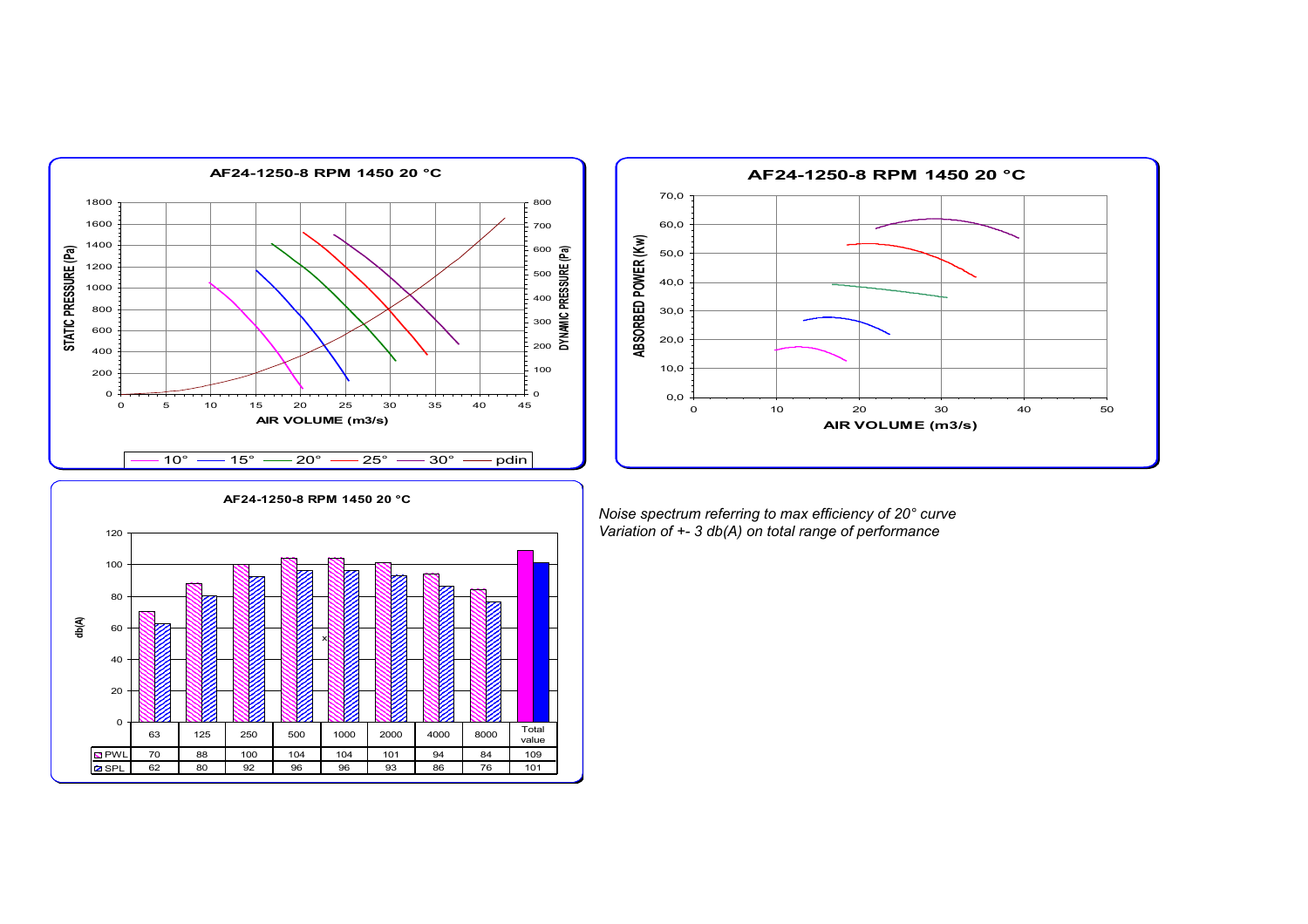